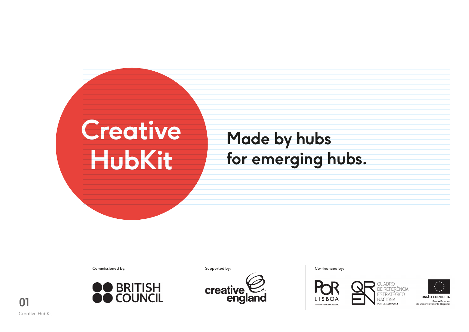| <b>Creative</b> |  |
|-----------------|--|
| <b>HubKit</b>   |  |

# **Made by hubs for emerging hubs.**

| Commissioned by:           | Supported by:       | Co-financed by:                                                                                                                                                                                                                                                |
|----------------------------|---------------------|----------------------------------------------------------------------------------------------------------------------------------------------------------------------------------------------------------------------------------------------------------------|
| <b>RRITISH</b><br>COLINCIL | creative<br>england | $\mathbf{y}^{\star\star}\mathbf{x}$<br><b>OUADRO</b><br>$\mathcal{L}_{\text{max}}$<br><b>ESTRATÉGICO</b><br><b>UNIÃO EUROPEIA</b><br>LISBOA<br>VACIONAL<br>Fundo Europeu<br>de Desenvolvimento Regional<br>PORTUGAL 2007.2013<br>PROGRAMA OPERACIONAL REGIONAL |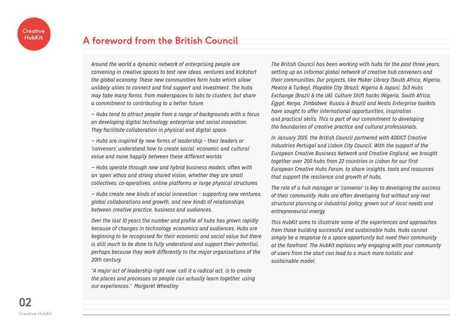## **A foreword from the British Council**

*Around the world a dynamic network of enterprising people are convening in creative spaces to test new ideas, ventures and kickstart the global economy. These new communities form hubs which allow unlikely allies to connect and find support and investment. The hubs may take many forms, from makerspaces to labs to clusters, but share a commitment to contributing to a better future.*

*— Hubs tend to attract people from a range of backgrounds with a focus on developing digital technology, enterprise and social innovation. They facilitate collaboration in physical and digital space.*

*— Hubs are inspired by new forms of leadership – their leaders or 'convenors' understand how to create social, economic and cultural value and move happily between these different worlds*

*— Hubs operate through new and hybrid business models, often with an 'open' ethos and strong shared vision, whether they are small collectives, co-operatives, online platforms or large physical structures*

*— Hubs create new kinds of social innovation – supporting new ventures, global collaborations and growth, and new kinds of relationships between creative practice, business and audiences.*

*Over the last 10 years the number and profile of hubs has grown rapidly because of changes in technology, economics and audiences. Hubs are beginning to be recognised for their economic and social value but there is still much to be done to fully understand and support their potential, perhaps because they work differently to the major organisations of the 20th century.*

*"A major act of leadership right now, call it a radical act, is to create the places and processes so people can actually learn together, using our experiences." Margaret Wheatley*

*The British Council has been working with hubs for the past three years, setting up an informal global network of creative hub conveners and their communities. Our projects, like Maker Library (South Africa, Nigeria, Mexico & Turkey), Playable City (Brazil, Nigeria & Japan), 3x3 Hubs Exchange (Brazil & the UK), Culture Shift hacks (Nigeria, South Africa, Egypt, Kenya, Zimbabwe, Russia & Brazil) and Nesta Enterprise toolkits have sought to offer international opportunities, inspiration and practical skills. This is part of our commitment to developing the boundaries of creative practice and cultural professionals.*

*In January 2015, the British Council partnered with ADDICT Creative Industries Portugal and Lisbon City Council. With the support of the European Creative Business Network and Creative England, we brought together over 200 hubs from 22 countries in Lisbon for our first European Creative Hubs Forum, to share insights, tools and resources that support the resilience and growth of hubs.*

*The role of a hub manager or 'convenor' is key to developing the success of their community. Hubs are often developing fast without any real structural planning or industrial policy, grown out of local needs and entrepreneurial energy.*

*This HubKit aims to illustrate some of the experiences and approaches from those building successful and sustainable hubs. Hubs cannot simply be a response to a space opportunity but need their community at the forefront. The HubKit explains why engaging with your community of users from the start can lead to a much more holistic and sustainable model.*

**02** Creative HubKit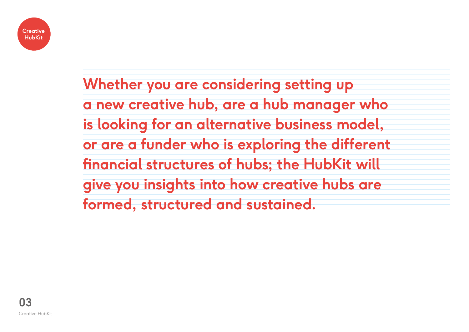

**Whether you are considering setting up a new creative hub, are a hub manager who is looking for an alternative business model, or are a funder who is exploring the different financial structures of hubs; the HubKit will give you insights into how creative hubs are formed, structured and sustained.**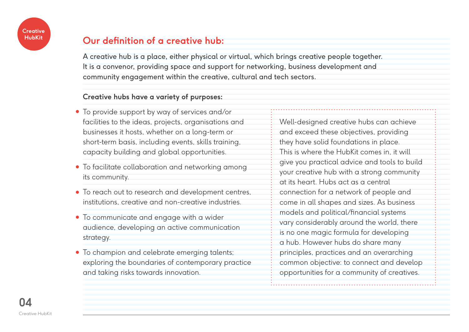

## **Our definition of a creative hub:**

A creative hub is a place, either physical or virtual, which brings creative people together. It is a convenor, providing space and support for networking, business development and community engagement within the creative, cultural and tech sectors.

#### **Creative hubs have a variety of purposes:**

- To provide support by way of services and/or facilities to the ideas, projects, organisations and businesses it hosts, whether on a long-term or short-term basis, including events, skills training, capacity building and global opportunities.
- To facilitate collaboration and networking among its community.
- To reach out to research and development centres, institutions, creative and non-creative industries.
- To communicate and engage with a wider audience, developing an active communication strategy.
- To champion and celebrate emerging talents; exploring the boundaries of contemporary practice and taking risks towards innovation.

Well-designed creative hubs can achieve and exceed these objectives, providing they have solid foundations in place. This is where the HubKit comes in, it will give you practical advice and tools to build your creative hub with a strong community at its heart. Hubs act as a central connection for a network of people and come in all shapes and sizes. As business models and political/financial systems vary considerably around the world, there is no one magic formula for developing a hub. However hubs do share many principles, practices and an overarching common objective: to connect and develop opportunities for a community of creatives.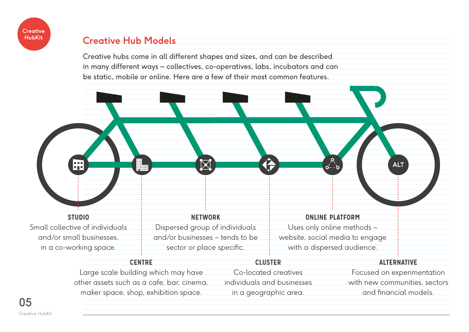

## **Creative Hub Models**

Creative hubs come in all different shapes and sizes, and can be described in many different ways – collectives, co-operatives, labs, incubators and can be static, mobile or online. Here are a few of their most common features.



| <b>CENTRE</b>                             | <b>CLUSTER</b>             | <b>ALTERNATIVE</b>            |
|-------------------------------------------|----------------------------|-------------------------------|
| Large scale building which may have       | Co-located creatives       | Focused on experimentation    |
| other assets such as a cafe, bar, cinema, | individuals and businesses | with new communities, sectors |
| maker space, shop, exhibition space.      | in a geographic area.      | and financial models.         |

**05** Creative HubKit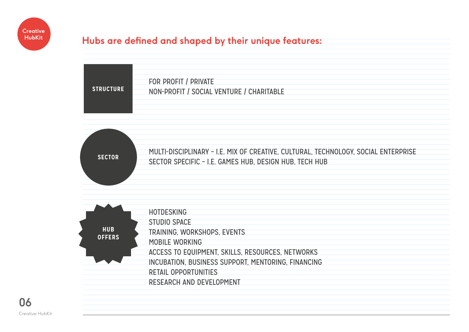

## **Hubs are defined and shaped by their unique features:**

| <b>STRUCTURE</b> |                                          |
|------------------|------------------------------------------|
|                  | FOR PROFIT / PRIVATE                     |
|                  | NON-PROFIT / SOCIAL VENTURE / CHARITABLE |
|                  |                                          |
|                  |                                          |



| <b>HUB</b><br><b>OFFERS</b> | <b>HOTDESKING</b><br><b>STUDIO SPACE</b><br>TRAINING, WORKSHOPS, EVENTS<br>MOBILE WORKING<br>ACCESS TO EQUIPMENT, SKILLS, RESOURCES, NETWORKS<br>INCUBATION, BUSINESS SUPPORT, MENTORING, FINANCING<br><b>RETAIL OPPORTUNITIES</b> |
|-----------------------------|------------------------------------------------------------------------------------------------------------------------------------------------------------------------------------------------------------------------------------|
|                             |                                                                                                                                                                                                                                    |
|                             | RESEARCH AND DEVELOPMENT                                                                                                                                                                                                           |
|                             |                                                                                                                                                                                                                                    |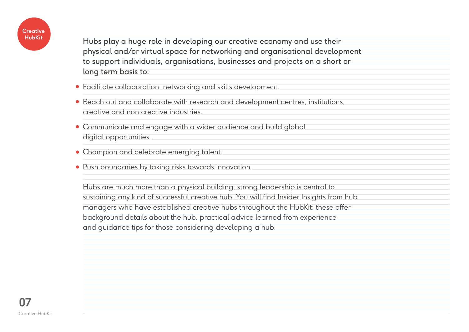

Hubs play a huge role in developing our creative economy and use their physical and/or virtual space for networking and organisational development to support individuals, organisations, businesses and projects on a short or long term basis to:

- Facilitate collaboration, networking and skills development.
- Reach out and collaborate with research and development centres, institutions, creative and non creative industries.
- Communicate and engage with a wider audience and build global digital opportunities.
- Champion and celebrate emerging talent.
- Push boundaries by taking risks towards innovation.

Hubs are much more than a physical building; strong leadership is central to sustaining any kind of successful creative hub. You will find Insider Insights from hub managers who have established creative hubs throughout the HubKit; these offer background details about the hub, practical advice learned from experience and guidance tips for those considering developing a hub.

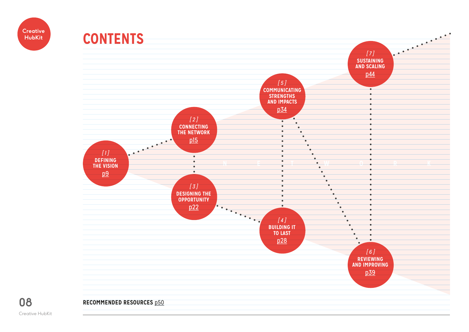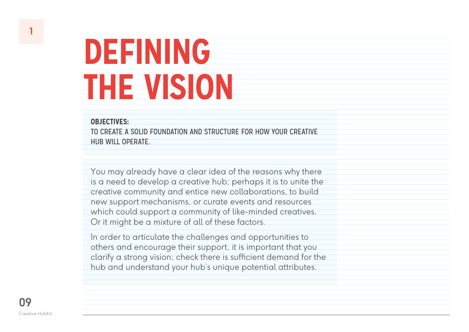#### **OBJECTIVES:**

TO CREATE A SOLID FOUNDATION AND STRUCTURE FOR HOW YOUR CREATIVE HUB WILL OPERATE.

You may already have a clear idea of the reasons why there is a need to develop a creative hub; perhaps it is to unite the creative community and entice new collaborations, to build new support mechanisms, or curate events and resources which could support a community of like-minded creatives. Or it might be a mixture of all of these factors.

In order to articulate the challenges and opportunities to others and encourage their support, it is important that you clarify a strong vision; check there is sufficient demand for the hub and understand your hub's unique potential attributes.

<span id="page-8-0"></span>**1**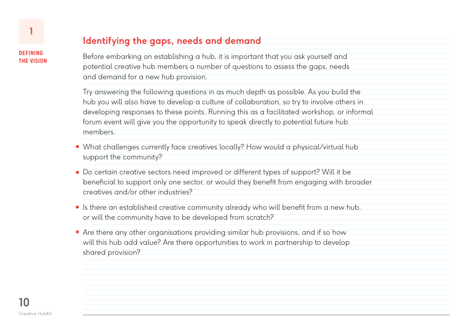## **Identifying the gaps, needs and demand**

Before embarking on establishing a hub, it is important that you ask yourself and potential creative hub members a number of questions to assess the gaps, needs and demand for a new hub provision.

Try answering the following questions in as much depth as possible. As you build the hub you will also have to develop a culture of collaboration, so try to involve others in developing responses to these points. Running this as a facilitated workshop, or informal forum event will give you the opportunity to speak directly to potential future hub members.

- What challenges currently face creatives locally? How would a physical/virtual hub support the community?
- Do certain creative sectors need improved or different types of support? Will it be beneficial to support only one sector, or would they benefit from engaging with broader creatives and/or other industries?
- Is there an established creative community already who will benefit from a new hub, or will the community have to be developed from scratch?
- Are there any other organisations providing similar hub provisions, and if so how will this hub add value? Are there opportunities to work in partnership to develop shared provision?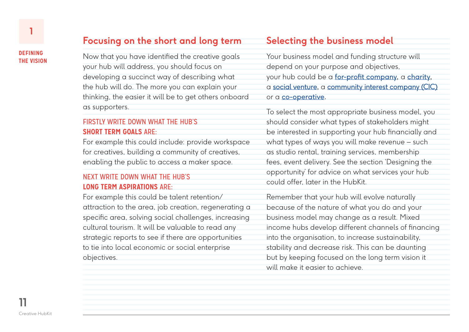## **Focusing on the short and long term**

Now that you have identified the creative goals your hub will address, you should focus on developing a succinct way of describing what the hub will do. The more you can explain your thinking, the easier it will be to get others onboard as supporters.

#### FIRSTLY WRITE DOWN WHAT THE HUB'S **SHORT TERM GOALS** ARE:

For example this could include: provide workspace for creatives, building a community of creatives, enabling the public to access a maker space.

#### NEXT WRITE DOWN WHAT THE HUB'S **LONG TERM ASPIRATIONS** ARE:

For example this could be talent retention/ attraction to the area, job creation, regenerating a specific area, solving social challenges, increasing cultural tourism. It will be valuable to read any strategic reports to see if there are opportunities to tie into local economic or social enterprise objectives.

## **Selecting the business model**

Your business model and funding structure will depend on your purpose and objectives, your hub could be a [for-profit company,](https://en.wikipedia.org/wiki/For-profit_corporation) a [charity,](https://en.wikipedia.org/wiki/Charitable_organization) a [social venture,](https://en.wikipedia.org/wiki/Social_venture) a [community interest company](https://en.wikipedia.org/wiki/Community_interest_company) (CIC) or a [co-operative.](https://en.wikipedia.org/wiki/Cooperative)

To select the most appropriate business model, you should consider what types of stakeholders might be interested in supporting your hub financially and what types of ways you will make revenue – such as studio rental, training services, membership fees, event delivery. See the section 'Designing the opportunity' for advice on what services your hub could offer, later in the HubKit.

Remember that your hub will evolve naturally because of the nature of what you do and your business model may change as a result. Mixed income hubs develop different channels of financing into the organisation, to increase sustainability, stability and decrease risk. This can be daunting but by keeping focused on the long term vision it will make it easier to achieve.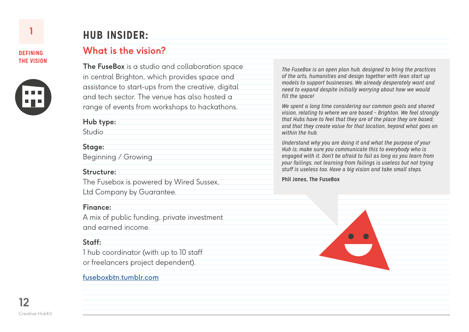

# **HUB INSIDER:**

## **What is the vision?**

**The FuseBox** is a studio and collaboration space in central Brighton, which provides space and assistance to start-ups from the creative, digital and tech sector. The venue has also hosted a range of events from workshops to hackathons.

**Hub type:**

**Studio** 

#### **Stage:**

Beginning / Growing

#### **Structure:**

The Fusebox is powered by Wired Sussex,

Ltd Company by Guarantee.

#### **Finance:**

A mix of public funding, private investment and earned income.

#### **Staff:**

1 hub coordinator (with up to 10 staff or freelancers project dependent).

#### [fuseboxbtn.tumblr.com](http://fuseboxbtn.tumblr.com/)

*The FuseBox is an open plan hub, designed to bring the practices of the arts, humanities and design together with lean start up models to support businesses. We already desperately want and need to expand despite initially worrying about how we would fill the space!*

*We spent a long time considering our common goals and shared vision, relating to where we are based – Brighton. We feel strongly that Hubs have to feel that they are of the place they are based; and that they create value for that location, beyond what goes on within the hub.* 

*Understand why you are doing it and what the purpose of your Hub is; make sure you communicate this to everybody who is engaged with it. Don't be afraid to fail as long as you learn from your failings, not learning from failings is useless but not trying stuff is useless too. Have a big vision and take small steps.* 

**Phil Jones, The FuseBox**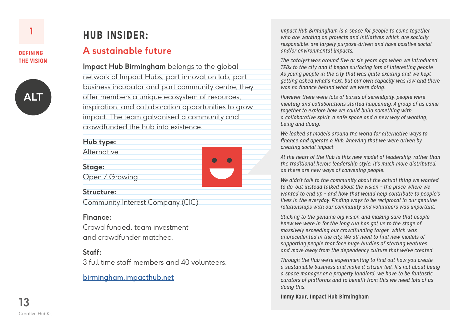

# **HUB INSIDER:**

### **A sustainable future**

**Impact Hub Birmingham** belongs to the global network of Impact Hubs; part innovation lab, part business incubator and part community centre, they offer members a unique ecosystem of resources, inspiration, and collaboration opportunities to grow impact. The team galvanised a community and crowdfunded the hub into existence.

| Hub type:                        |  |  |
|----------------------------------|--|--|
| <b>Alternative</b>               |  |  |
| Stage:                           |  |  |
| Open / Growing                   |  |  |
| Structure:                       |  |  |
| Community Interest Company (CIC) |  |  |
| <b>Finance:</b>                  |  |  |
| Crowd funded, team investment    |  |  |
| and crowdfunder matched.         |  |  |
|                                  |  |  |

#### **Staff:**

3 full time staff members and 40 volunteers.

#### [birmingham.impacthub.net](http://birmingham.impacthub.net/)

*Impact Hub Birmingham is a space for people to come together who are working on projects and initiatives which are socially responsible, are largely purpose-driven and have positive social and/or environmental impacts.* 

*The catalyst was around five or six years ago when we introduced TEDx to the city and it began surfacing lots of interesting people. As young people in the city that was quite exciting and we kept getting asked what's next, but our own capacity was low and there was no finance behind what we were doing.* 

*However there were lots of bursts of serendipity, people were meeting and collaborations started happening. A group of us came together to explore how we could build something with a collaborative spirit, a safe space and a new way of working, being and doing.* 

*We looked at models around the world for alternative ways to finance and operate a Hub, knowing that we were driven by creating social impact.*

*At the heart of the Hub is this new model of leadership, rather than the traditional heroic leadership style, it's much more distributed, as there are new ways of convening people.* 

*We didn't talk to the community about the actual thing we wanted to do, but instead talked about the vision – the place where we wanted to end up – and how that would help contribute to people's lives in the everyday. Finding ways to be reciprocal in our genuine relationships with our community and volunteers was important.* 

*Sticking to the genuine big vision and making sure that people knew we were in for the long run has got us to the stage of massively exceeding our crowdfunding target, which was unprecedented in the city. We all need to find new models of supporting people that face huge hurdles of starting ventures and move away from the dependency culture that we've created.* 

*Through the Hub we're experimenting to find out how you create a sustainable business and make it citizen-led. It's not about being a space manager or a property landlord, we have to be fantastic curators of platforms and to benefit from this we need lots of us doing this.*

**Immy Kaur, Impact Hub Birmingham**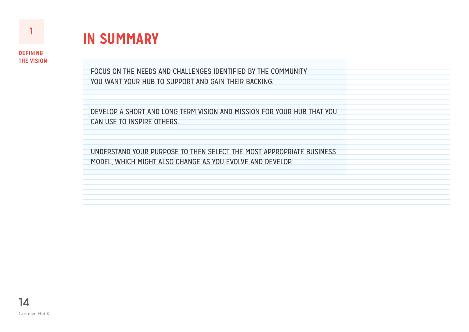

# **IN SUMMARY**

FOCUS ON THE NEEDS AND CHALLENGES IDENTIFIED BY THE COMMUNITY YOU WANT YOUR HUB TO SUPPORT AND GAIN THEIR BACKING.

DEVELOP A SHORT AND LONG TERM VISION AND MISSION FOR YOUR HUB THAT YOU CAN USE TO INSPIRE OTHERS.

UNDERSTAND YOUR PURPOSE TO THEN SELECT THE MOST APPROPRIATE BUSINESS MODEL, WHICH MIGHT ALSO CHANGE AS YOU EVOLVE AND DEVELOP.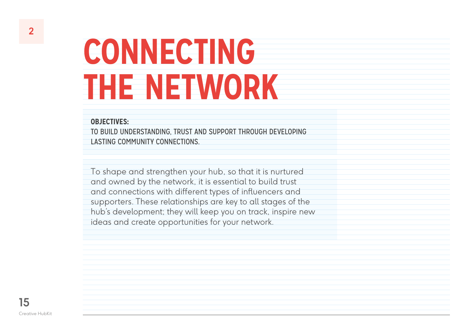#### <span id="page-14-0"></span>**OBJECTIVES:**

TO BUILD UNDERSTANDING, TRUST AND SUPPORT THROUGH DEVELOPING LASTING COMMUNITY CONNECTIONS.

To shape and strengthen your hub, so that it is nurtured and owned by the network, it is essential to build trust and connections with different types of influencers and supporters. These relationships are key to all stages of the hub's development; they will keep you on track, inspire new ideas and create opportunities for your network.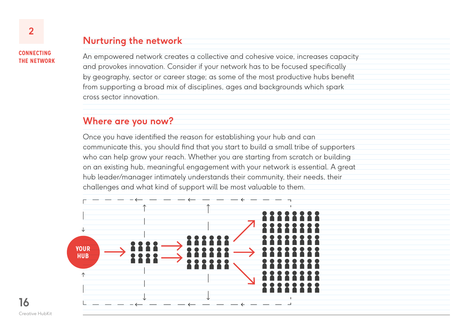## **Nurturing the network**

**CONNECTING THE NETWORK**

An empowered network creates a collective and cohesive voice, increases capacity and provokes innovation. Consider if your network has to be focused specifically by geography, sector or career stage; as some of the most productive hubs benefit from supporting a broad mix of disciplines, ages and backgrounds which spark cross sector innovation.

### **Where are you now?**

Once you have identified the reason for establishing your hub and can communicate this, you should find that you start to build a small tribe of supporters who can help grow your reach. Whether you are starting from scratch or building on an existing hub, meaningful engagement with your network is essential. A great hub leader/manager intimately understands their community, their needs, their challenges and what kind of support will be most valuable to them.

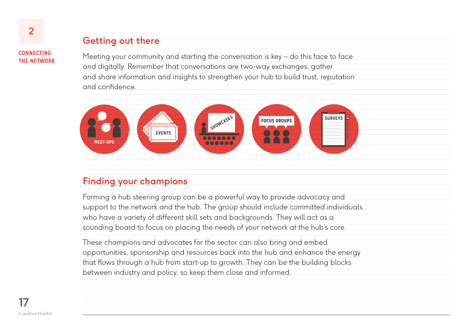## **Getting out there**

**CONNECTING THE NETWORK**

**2**

Meeting your community and starting the conversation is key – do this face to face and digitally. Remember that conversations are two-way exchanges; gather and share information and insights to strengthen your hub to build trust, reputation and confidence.



## **Finding your champions**

Forming a hub steering group can be a powerful way to provide advocacy and support to the network and the hub. The group should include committed individuals who have a variety of different skill sets and backgrounds. They will act as a sounding board to focus on placing the needs of your network at the hub's core.

These champions and advocates for the sector can also bring and embed opportunities, sponsorship and resources back into the hub and enhance the energy that flows through a hub from start-up to growth. They can be the building blocks between industry and policy, so keep them close and informed.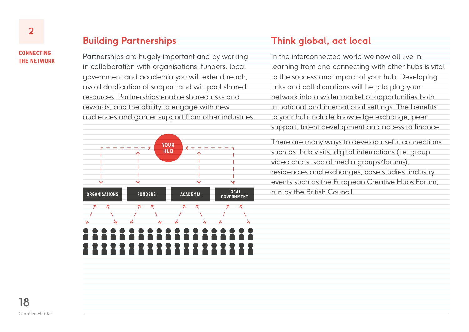**Building Partnerships**

Partnerships are hugely important and by working in collaboration with organisations, funders, local government and academia you will extend reach, avoid duplication of support and will pool shared resources. Partnerships enable shared risks and rewards, and the ability to engage with new audiences and garner support from other industries.



## **Think global, act local**

In the interconnected world we now all live in, learning from and connecting with other hubs is vital to the success and impact of your hub. Developing links and collaborations will help to plug your network into a wider market of opportunities both in national and international settings. The benefits to your hub include knowledge exchange, peer support, talent development and access to finance.

There are many ways to develop useful connections such as: hub visits, digital interactions (i.e. group video chats, social media groups/forums), residencies and exchanges, case studies, industry events such as the European Creative Hubs Forum, run by the British Council.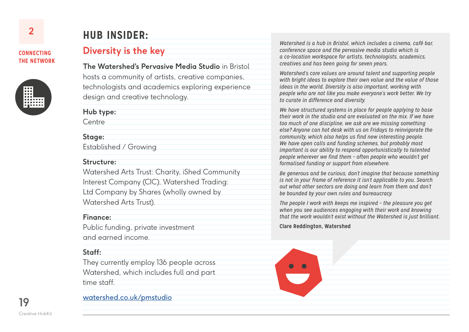

# **HUB INSIDER:**

## **Diversity is the key**

**The Watershed's Pervasive Media Studio** in Bristol hosts a community of artists, creative companies, technologists and academics exploring experience design and creative technology.

**Hub type:**

**Centre** 

#### **Stage:**

Established / Growing

#### **Structure:**

Watershed Arts Trust: Charity, iShed Community Interest Company (CIC), Watershed Trading: Ltd Company by Shares (wholly owned by Watershed Arts Trust).

#### **Finance:**

Public funding, private investment and earned income.

#### **Staff:**

They currently employ 136 people across Watershed, which includes full and part time staff.

[watershed.co.uk/pmstudio](http://www.watershed.co.uk/pmstudio/)

*Watershed is a hub in Bristol, which includes a cinema, café bar, conference space and the pervasive media studio which is a co-location workspace for artists, technologists, academics, creatives and has been going for seven years.*

*Watershed's core values are around talent and supporting people with bright ideas to explore their own value and the value of those ideas in the world. Diversity is also important, working with people who are not like you make everyone's work better. We try to curate in difference and diversity.*

*We have structured systems in place for people applying to base their work in the studio and are evaluated on the mix. If we have too much of one discipline, we ask are we missing something else? Anyone can hot desk with us on Fridays to reinvigorate the community, which also helps us find new interesting people. We have open calls and funding schemes, but probably most important is our ability to respond opportunistically to talented people wherever we find them – often people who wouldn't get formalised funding or support from elsewhere.*

*Be generous and be curious, don't imagine that because something is not in your frame of reference it isn't applicable to you. Search out what other sectors are doing and learn from them and don't be bounded by your own rules and bureaucracy.*

*The people I work with keeps me inspired – the pleasure you get when you see audiences engaging with their work and knowing that the work wouldn't exist without the Watershed is just brilliant.* 

#### **Clare Reddington, Watershed**

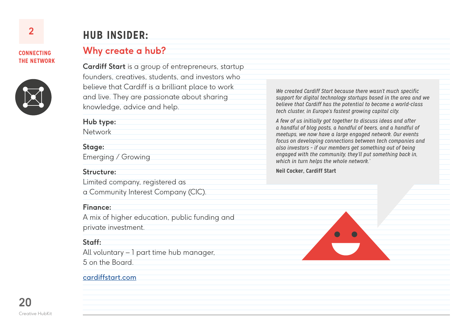

# **HUB INSIDER:**

## **Why create a hub?**

**Cardiff Start** is a group of entrepreneurs, startup founders, creatives, students, and investors who believe that Cardiff is a brilliant place to work and live. They are passionate about sharing knowledge, advice and help.

**Hub type:**

Network

#### **Stage:**

Emerging / Growing

#### **Structure:**

Limited company, registered as

a Community Interest Company (CIC).

#### **Finance:**

A mix of higher education, public funding and private investment.

#### **Staff:**

All voluntary – 1 part time hub manager, 5 on the Board.

#### [cardiffstart.com](http://cardiffstart.com/)

*We created Cardiff Start because there wasn't much specific support for digital technology startups based in the area and we believe that Cardiff has the potential to become a world-class tech cluster, in Europe's fastest growing capital city.* 

*A few of us initially got together to discuss ideas and after a handful of blog posts, a handful of beers, and a handful of meetups, we now have a large engaged network. Our events focus on developing connections between tech companies and also investors – if our members get something out of being engaged with the community, they'll put something back in, which in turn helps the whole network.'*

#### **Neil Cocker, Cardiff Start**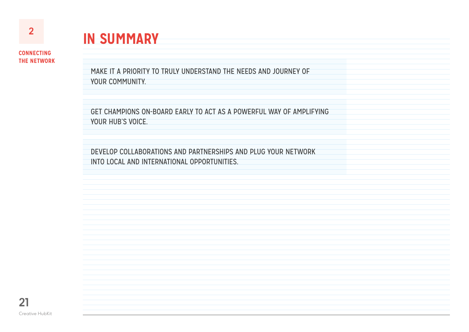# **IN SUMMARY**

**CONNECTING THE NETWORK**

> MAKE IT A PRIORITY TO TRULY UNDERSTAND THE NEEDS AND JOURNEY OF YOUR COMMUNITY.

GET CHAMPIONS ON-BOARD EARLY TO ACT AS A POWERFUL WAY OF AMPLIFYING YOUR HUB'S VOICE.

DEVELOP COLLABORATIONS AND PARTNERSHIPS AND PLUG YOUR NETWORK INTO LOCAL AND INTERNATIONAL OPPORTUNITIES.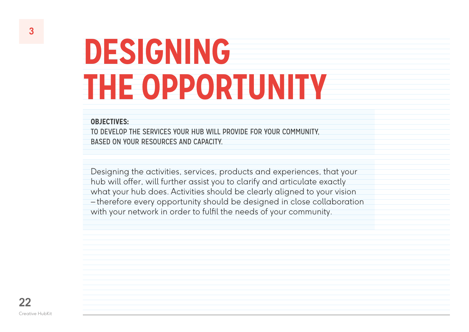# <span id="page-21-0"></span>**DESIGNING THE OPPORTUNITY**

#### **OBJECTIVES:**

TO DEVELOP THE SERVICES YOUR HUB WILL PROVIDE FOR YOUR COMMUNITY, BASED ON YOUR RESOURCES AND CAPACITY.

Designing the activities, services, products and experiences, that your hub will offer, will further assist you to clarify and articulate exactly what your hub does. Activities should be clearly aligned to your vision – therefore every opportunity should be designed in close collaboration with your network in order to fulfil the needs of your community.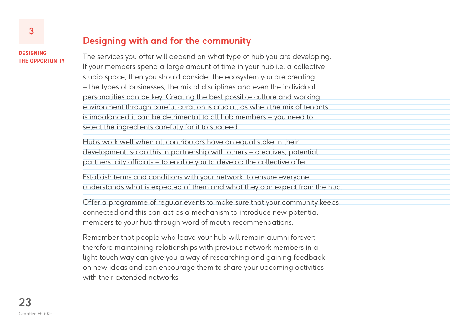#### **DESIGNING THE OPPORTUNITY**

## **Designing with and for the community**

The services you offer will depend on what type of hub you are developing. If your members spend a large amount of time in your hub i.e. a collective studio space, then you should consider the ecosystem you are creating – the types of businesses, the mix of disciplines and even the individual personalities can be key. Creating the best possible culture and working environment through careful curation is crucial, as when the mix of tenants is imbalanced it can be detrimental to all hub members – you need to select the ingredients carefully for it to succeed.

Hubs work well when all contributors have an equal stake in their development, so do this in partnership with others – creatives, potential partners, city officials – to enable you to develop the collective offer.

Establish terms and conditions with your network, to ensure everyone understands what is expected of them and what they can expect from the hub.

Offer a programme of regular events to make sure that your community keeps connected and this can act as a mechanism to introduce new potential members to your hub through word of mouth recommendations.

Remember that people who leave your hub will remain alumni forever; therefore maintaining relationships with previous network members in a light-touch way can give you a way of researching and gaining feedback on new ideas and can encourage them to share your upcoming activities with their extended networks.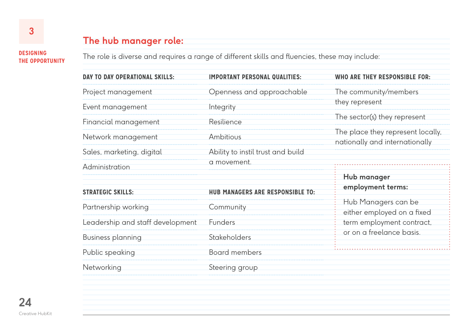## **The hub manager role:**

**DESIGNING THE OPPORTUNITY**

The role is diverse and requires a range of different skills and fluencies, these may include:

| DAY TO DAY OPERATIONAL SKILLS:   | <b>IMPORTANT PERSONAL QUALITIES:</b>             | <b>WHO ARE THEY RESPONSIBLE FOR:</b>                                |  |
|----------------------------------|--------------------------------------------------|---------------------------------------------------------------------|--|
| Project management               | Openness and approachable                        | The community/members                                               |  |
| Event management                 | Integrity                                        | they represent                                                      |  |
| Financial management             | Resilience                                       | The sector(s) they represent                                        |  |
| Network management               | Ambitious                                        | The place they represent locally,<br>nationally and internationally |  |
| Sales, marketing, digital        | Ability to instil trust and build<br>a movement. |                                                                     |  |
| Administration                   |                                                  | Hub manager                                                         |  |
| <b>STRATEGIC SKILLS:</b>         | HUB MANAGERS ARE RESPONSIBLE TO:                 | employment terms:                                                   |  |
| Partnership working              | Community                                        | Hub Managers can be<br>either employed on a fixed                   |  |
| Leadership and staff development | <b>Funders</b>                                   | term employment contract,                                           |  |
| <b>Business planning</b>         | <b>Stakeholders</b>                              | or on a freelance basis.                                            |  |
| Public speaking                  | <b>Board members</b>                             |                                                                     |  |
| Networking                       | Steering group                                   |                                                                     |  |
|                                  |                                                  |                                                                     |  |
|                                  |                                                  |                                                                     |  |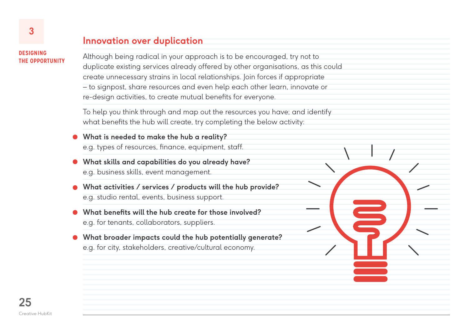## **Innovation over duplication**

**DESIGNING THE OPPORTUNITY**

Although being radical in your approach is to be encouraged, try not to duplicate existing services already offered by other organisations, as this could create unnecessary strains in local relationships. Join forces if appropriate – to signpost, share resources and even help each other learn, innovate or re-design activities, to create mutual benefits for everyone.

To help you think through and map out the resources you have; and identify what benefits the hub will create, try completing the below activity:

- **What is needed to make the hub a reality?**  e.g. types of resources, finance, equipment, staff.
- **What skills and capabilities do you already have?** e.g. business skills, event management.
- **What activities / services / products will the hub provide?** e.g. studio rental, events, business support.
- **What benefits will the hub create for those involved?** e.g. for tenants, collaborators, suppliers.
- **What broader impacts could the hub potentially generate?** e.g. for city, stakeholders, creative/cultural economy.

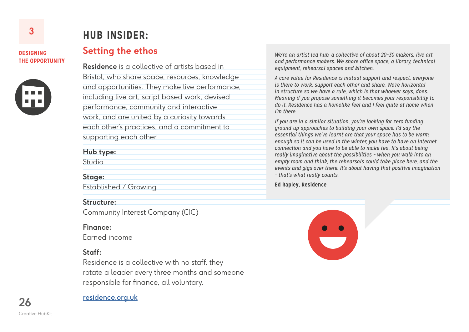#### **DESIGNING THE OPPORTUNITY**



## **HUB INSIDER:**

#### **Setting the ethos**

**Residence** is a collective of artists based in Bristol, who share space, resources, knowledge and opportunities. They make live performance, including live art, script based work, devised performance, community and interactive work, and are united by a curiosity towards each other's practices, and a commitment to supporting each other.

#### **Hub type:**

Studio

#### **Stage:**

Established / Growing

#### **Structure:**

Community Interest Company (CIC)

#### **Finance:**

Earned income

#### **Staff:**

Residence is a collective with no staff, they rotate a leader every three months and someone responsible for finance, all voluntary.

*We're an artist led hub, a collective of about 20–30 makers, live art and performance makers. We share office space, a library, technical equipment, rehearsal spaces and kitchen.*

*A core value for Residence is mutual support and respect, everyone is there to work, support each other and share. We're horizontal in structure so we have a rule, which is that whoever says, does. Meaning if you propose something it becomes your responsibility to do it. Residence has a homelike feel and I feel quite at home when I'm there.*

*If you are in a similar situation, you're looking for zero funding ground-up approaches to building your own space. I'd say the essential things we've learnt are that your space has to be warm enough so it can be used in the winter, you have to have an internet connection and you have to be able to make tea. It's about being really imaginative about the possibilities – when you walk into an empty room and think, the rehearsals could take place here, and the events and gigs over there. It's about having that positive imagination – that's what really counts.* 

#### **Ed Rapley, Residence**



**26** Creative HubKit

#### [residence.org.uk](http://residence.org.uk/)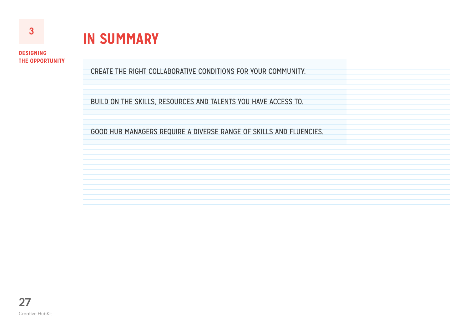# **IN SUMMARY**

**DESIGNING THE OPPORTUNITY**

CREATE THE RIGHT COLLABORATIVE CONDITIONS FOR YOUR COMMUNITY.

BUILD ON THE SKILLS, RESOURCES AND TALENTS YOU HAVE ACCESS TO.

GOOD HUB MANAGERS REQUIRE A DIVERSE RANGE OF SKILLS AND FLUENCIES.

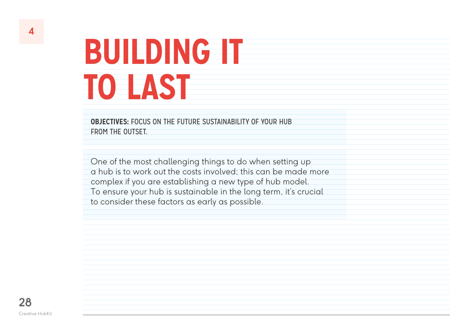<span id="page-27-0"></span>**OBJECTIVES:** FOCUS ON THE FUTURE SUSTAINABILITY OF YOUR HUB FROM THE OUTSET

One of the most challenging things to do when setting up a hub is to work out the costs involved; this can be made more complex if you are establishing a new type of hub model. To ensure your hub is sustainable in the long term, it's crucial to consider these factors as early as possible.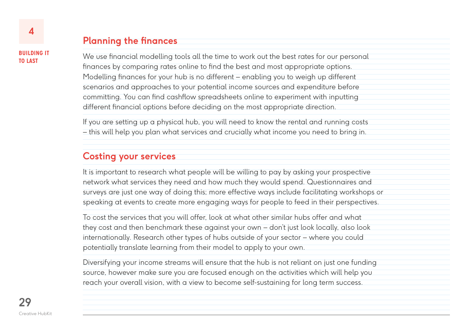## **Planning the finances**

We use financial modelling tools all the time to work out the best rates for our personal finances by comparing rates online to find the best and most appropriate options. Modelling finances for your hub is no different – enabling you to weigh up different scenarios and approaches to your potential income sources and expenditure before committing. You can find cashflow spreadsheets online to experiment with inputting different financial options before deciding on the most appropriate direction.

If you are setting up a physical hub, you will need to know the rental and running costs – this will help you plan what services and crucially what income you need to bring in.

## **Costing your services**

It is important to research what people will be willing to pay by asking your prospective network what services they need and how much they would spend. Questionnaires and surveys are just one way of doing this; more effective ways include facilitating workshops or speaking at events to create more engaging ways for people to feed in their perspectives.

To cost the services that you will offer, look at what other similar hubs offer and what they cost and then benchmark these against your own – don't just look locally, also look internationally. Research other types of hubs outside of your sector – where you could potentially translate learning from their model to apply to your own.

Diversifying your income streams will ensure that the hub is not reliant on just one funding source, however make sure you are focused enough on the activities which will help you reach your overall vision, with a view to become self-sustaining for long term success.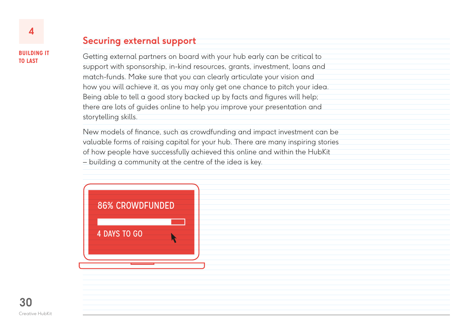## **Securing external support**

Getting external partners on board with your hub early can be critical to support with sponsorship, in-kind resources, grants, investment, loans and match-funds. Make sure that you can clearly articulate your vision and how you will achieve it, as you may only get one chance to pitch your idea. Being able to tell a good story backed up by facts and figures will help; there are lots of guides online to help you improve your presentation and storytelling skills.

New models of finance, such as crowdfunding and impact investment can be valuable forms of raising capital for your hub. There are many inspiring stories of how people have successfully achieved this online and within the HubKit – building a community at the centre of the idea is key.

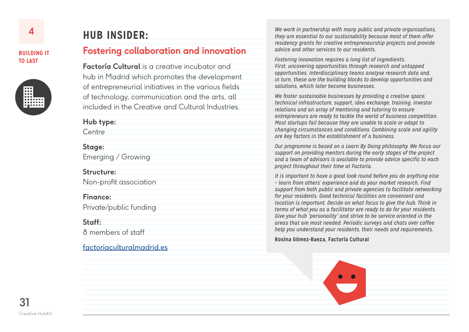

# **HUB INSIDER:**

## **Fostering collaboration and innovation**

**Factoría Cultural** is a creative incubator and hub in Madrid which promotes the development of entrepreneurial initiatives in the various fields of technology, communication and the arts, all included in the Creative and Cultural Industries.

#### **Hub type:**

**Centre** 

#### **Stage:**

Emerging / Growing

#### **Structure:**

Non-profit association

#### **Finance:**

Private/public funding

#### **Staff:**

8 members of staff

#### [factoriaculturalmadrid.es](http://factoriaculturalmadrid.es/)

*We work in partnership with many public and private organisations, they are essential to our sustainability because most of them offer residency grants for creative entrepreneurship projects and provide advice and other services to our residents.* 

*Fostering innovation requires a long list of ingredients. First, uncovering opportunities through research and untapped opportunities. Interdisciplinary teams analyse research data and, in turn, these are the building blocks to develop opportunities and solutions, which later become businesses.*

*We foster sustainable businesses by providing a creative space, technical infrastructure, support, idea exchange, training, investor relations and an array of mentoring and tutoring to ensure entrepreneurs are ready to tackle the world of business competition. Most startups fail because they are unable to scale or adapt to changing circumstances and conditions. Combining scale and agility are key factors in the establishment of a business.*

*Our programme is based on a Learn By Doing philosophy. We focus our support on providing mentors during the early stages of the project and a team of advisors is available to provide advice specific to each project throughout their time at Factoría.* 

*It is important to have a good look round before you do anything else – learn from others' experience and do your market research. Find support from both public and private agencies to facilitate networking for your residents. Good technical facilities are convenient and location is important. Decide on what focus to give the hub. Think in terms of what you as a facilitator are ready to do for your residents. Give your hub "personality" and strive to be service oriented in the areas that are most needed. Periodic surveys and chats over coffee help you understand your residents, their needs and requirements.*

#### **Rosina Gómez-Baeza, Factoría Cultural**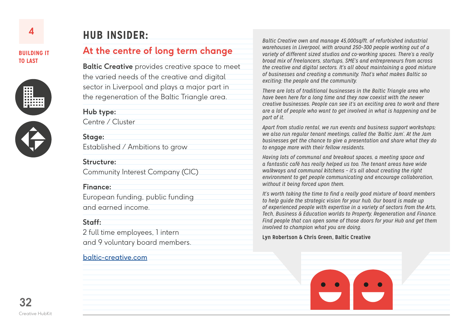



## **HUB INSIDER:**

## **At the centre of long term change**

**Baltic Creative** provides creative space to meet the varied needs of the creative and digital sector in Liverpool and plays a major part in the regeneration of the Baltic Triangle area.

#### **Hub type:**

Centre / Cluster

#### **Stage:**

Established / Ambitions to grow

#### **Structure:**

Community Interest Company (CIC)

#### **Finance:**

European funding, public funding and earned income.

#### **Staff:**

2 full time employees, 1 intern and 9 voluntary board members.

#### [baltic-creative.com](http://baltic-creative.com/)

*Baltic Creative own and manage 45,000sq/ft. of refurbished industrial warehouses in Liverpool, with around 250–300 people working out of a variety of different sized studios and co-working spaces. There's a really broad mix of freelancers, startups, SME's and entrepreneurs from across the creative and digital sectors. It's all about maintaining a good mixture of businesses and creating a community. That's what makes Baltic so exciting; the people and the community.* 

*There are lots of traditional businesses in the Baltic Triangle area who have been here for a long time and they now coexist with the newer creative businesses. People can see it's an exciting area to work and there are a lot of people who want to get involved in what is happening and be part of it.*

*Apart from studio rental, we run events and business support workshops; we also run regular tenant meetings, called the 'Baltic Jam'. At the Jam businesses get the chance to give a presentation and share what they do to engage more with their fellow residents.*

*Having lots of communal and breakout spaces, a meeting space and a fantastic café has really helped us too. The tenant areas have wide walkways and communal kitchens – it's all about creating the right environment to get people communicating and encourage collaboration, without it being forced upon them.*

*It's worth taking the time to find a really good mixture of board members to help guide the strategic vision for your hub. Our board is made up of experienced people with expertise in a variety of sectors from the Arts, Tech, Business & Education worlds to Property, Regeneration and Finance. Find people that can open some of those doors for your Hub and get them involved to champion what you are doing.*

#### **Lyn Robertson & Chris Green, Baltic Creative**

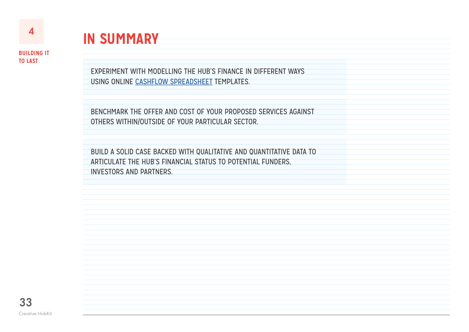

**IN SUMMARY**

EXPERIMENT WITH MODELLING THE HUB'S FINANCE IN DIFFERENT WAYS USING ONLINE [CASHFLOW SPREADSHEET](http://www.culturalenterpriseoffice.co.uk/resources/guide/cash-flow-guide/) TEMPLATES.

BENCHMARK THE OFFER AND COST OF YOUR PROPOSED SERVICES AGAINST OTHERS WITHIN/OUTSIDE OF YOUR PARTICULAR SECTOR.

BUILD A SOLID CASE BACKED WITH QUALITATIVE AND QUANTITATIVE DATA TO ARTICULATE THE HUB'S FINANCIAL STATUS TO POTENTIAL FUNDERS, INVESTORS AND PARTNERS.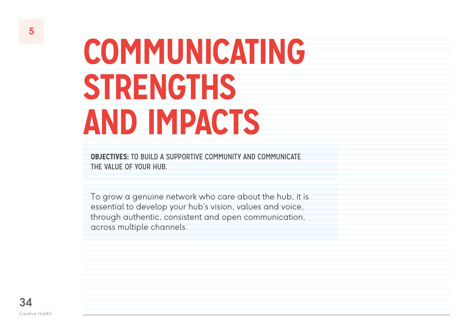# <span id="page-33-0"></span>**COMMUNICATING STRENGTHS AND IMPACTS**

**OBJECTIVES:** TO BUILD A SUPPORTIVE COMMUNITY AND COMMUNICATE THE VALUE OF YOUR HUB.

To grow a genuine network who care about the hub, it is essential to develop your hub's vision, values and voice, through authentic, consistent and open communication, across multiple channels.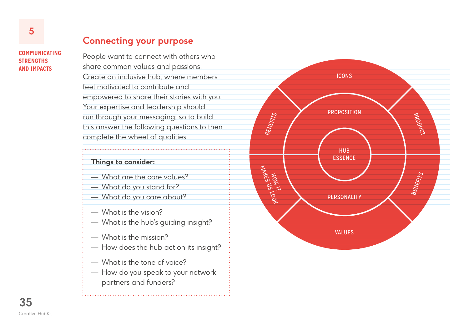# **COMMUNICATING STRENGTHS 5**<br> **COMMUNICAT**<br> **STRENGTHS**<br> **AND IMPACTS**

## **Connecting your purpose**

People want to connect with others who share common values and passions. Create an inclusive hub, where members feel motivated to contribute and empowered to share their stories with you. Your expertise and leadership should run through your messaging; so to build this answer the following questions to then complete the wheel of qualities.

#### **Things to consider:**

- 
- 
- What are the core values? What do you stand for? What do you care about? What is the vision?
- 
- What is the hub's guiding insight?

- 
- What is the mission? How does the hub act on its insight?
- 
- What is the tone of voice? How do you speak to your network,
- partners and funders?

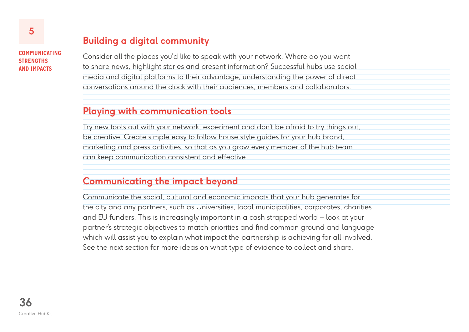#### **COMMUNICATING STRENGTHS AND IMPACTS**

## **Building a digital community**

Consider all the places you'd like to speak with your network. Where do you want to share news, highlight stories and present information? Successful hubs use social media and digital platforms to their advantage, understanding the power of direct conversations around the clock with their audiences, members and collaborators.

## **Playing with communication tools**

Try new tools out with your network; experiment and don't be afraid to try things out, be creative. Create simple easy to follow house style guides for your hub brand, marketing and press activities, so that as you grow every member of the hub team can keep communication consistent and effective.

## **Communicating the impact beyond**

Communicate the social, cultural and economic impacts that your hub generates for the city and any partners, such as Universities, local municipalities, corporates, charities and EU funders. This is increasingly important in a cash strapped world – look at your partner's strategic objectives to match priorities and find common ground and language which will assist you to explain what impact the partnership is achieving for all involved. See the next section for more ideas on what type of evidence to collect and share.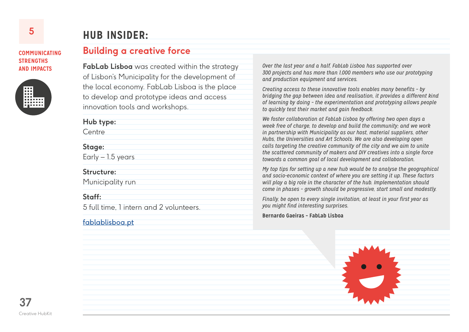#### **COMMUNICATING STRENGTHS AND IMPACTS**



## **HUB INSIDER:**

## **Building a creative force**

**FabLab Lisboa** was created within the strategy of Lisbon's Municipality for the development of the local economy. FabLab Lisboa is the place to develop and prototype ideas and access innovation tools and workshops.

**Hub type:**

**Centre** 

#### **Stage:**

Early – 1.5 years

#### **Structure:**

Municipality run

#### **Staff:**

5 full time, 1 intern and 2 volunteers.

#### [fablablisboa.pt](http://fablablisboa.pt/)

*Over the last year and a half, FabLab Lisboa has supported over 300 projects and has more than 1,000 members who use our prototyping and production equipment and services.*

*Creating access to these innovative tools enables many benefits – by bridging the gap between idea and realisation, it provides a different kind of learning by doing – the experimentation and prototyping allows people to quickly test their market and gain feedback.*

*We foster collaboration at FabLab Lisboa by offering two open days a week free of charge, to develop and build the community; and we work in partnership with Municipality as our host, material suppliers, other Hubs, the Universities and Art Schools. We are also developing open calls targeting the creative community of the city and we aim to unite the scattered community of makers and DIY creatives into a single force towards a common goal of local development and collaboration.* 

*My top tips for setting up a new hub would be to analyse the geographical and socio-economic context of where you are setting it up. These factors will play a big role in the character of the hub. Implementation should come in phases – growth should be progressive, start small and modestly.* 

*Finally, be open to every single invitation, at least in your first year as you might find interesting surprises.*

**Bernardo Gaeiras – FabLab Lisboa**

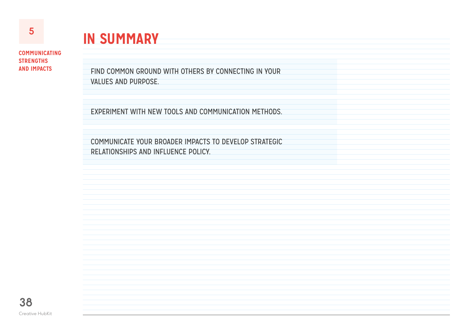# **IN SUMMARY**

**COMMUNICATING STRENGTHS AND IMPACTS**

FIND COMMON GROUND WITH OTHERS BY CONNECTING IN YOUR VALUES AND PURPOSE.

EXPERIMENT WITH NEW TOOLS AND COMMUNICATION METHODS.

COMMUNICATE YOUR BROADER IMPACTS TO DEVELOP STRATEGIC RELATIONSHIPS AND INFLUENCE POLICY.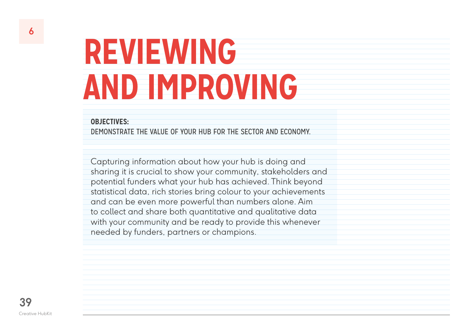# <span id="page-38-0"></span>**REVIEWING AND IMPROVING**

#### **OBJECTIVES:**

DEMONSTRATE THE VALUE OF YOUR HUB FOR THE SECTOR AND ECONOMY.

Capturing information about how your hub is doing and sharing it is crucial to show your community, stakeholders and potential funders what your hub has achieved. Think beyond statistical data, rich stories bring colour to your achievements and can be even more powerful than numbers alone. Aim to collect and share both quantitative and qualitative data with your community and be ready to provide this whenever needed by funders, partners or champions.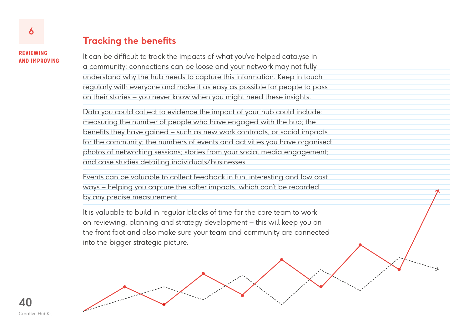#### **REVIEWING AND IMPROVING**

## **Tracking the benefits**

It can be difficult to track the impacts of what you've helped catalyse in a community; connections can be loose and your network may not fully understand why the hub needs to capture this information. Keep in touch regularly with everyone and make it as easy as possible for people to pass on their stories – you never know when you might need these insights.

Data you could collect to evidence the impact of your hub could include: measuring the number of people who have engaged with the hub; the benefits they have gained – such as new work contracts, or social impacts for the community; the numbers of events and activities you have organised; photos of networking sessions; stories from your social media engagement; and case studies detailing individuals/businesses.

Events can be valuable to collect feedback in fun, interesting and low cost ways – helping you capture the softer impacts, which can't be recorded by any precise measurement.

It is valuable to build in regular blocks of time for the core team to work on reviewing, planning and strategy development – this will keep you on the front foot and also make sure your team and community are connected into the bigger strategic picture.

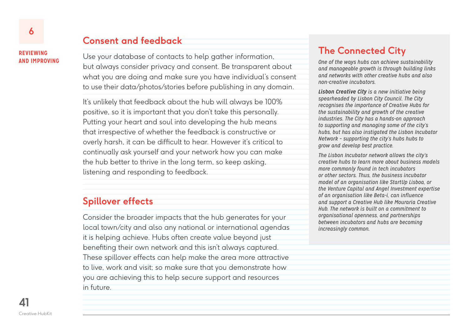#### **REVIEWING AND IMPROVING**

## **Consent and feedback**

Use your database of contacts to help gather information, but always consider privacy and consent. Be transparent about what you are doing and make sure you have individual's consent to use their data/photos/stories before publishing in any domain.

It's unlikely that feedback about the hub will always be 100% positive, so it is important that you don't take this personally. Putting your heart and soul into developing the hub means that irrespective of whether the feedback is constructive or overly harsh, it can be difficult to hear. However it's critical to continually ask yourself and your network how you can make the hub better to thrive in the long term, so keep asking, listening and responding to feedback.

### **Spillover effects**

Consider the broader impacts that the hub generates for your local town/city and also any national or international agendas it is helping achieve. Hubs often create value beyond just benefiting their own network and this isn't always captured. These spillover effects can help make the area more attractive to live, work and visit; so make sure that you demonstrate how you are achieving this to help secure support and resources in future.

## **The Connected City**

*One of the ways hubs can achieve sustainability and manageable growth is through building links and networks with other creative hubs and also non-creative incubators.* 

*Lisbon Creative City is a new initiative being spearheaded by Lisbon City Council. The City recognises the importance of Creative Hubs for the sustainability and growth of the creative industries. The City has a hands-on approach to supporting and managing some of the city's hubs, but has also instigated the Lisbon Incubator Network – supporting the city's hubs hubs to grow and develop best practice.*

*The Lisbon Incubator network allows the city's creative hubs to learn more about business models more commonly found in tech incubators or other sectors. Thus, the business incubator model of an organisation like StartUp Lisboa, or the Venture Capital and Angel Investment expertise of an organisation like Beta-i, can influence and support a Creative Hub like Mouraria Creative Hub. The network is built on a commitment to organisational openness, and partnerships between incubators and hubs are becoming increasingly common.*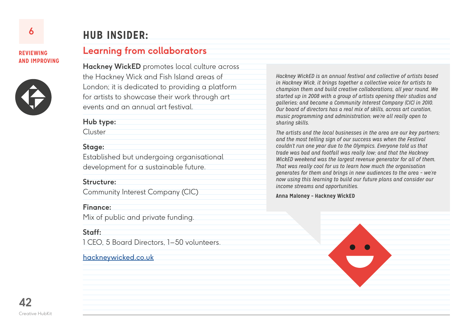#### **REVIEWING AND IMPROVING**



# **HUB INSIDER:**

**Learning from collaborators**

**Hackney WickED** promotes local culture across the Hackney Wick and Fish Island areas of London; it is dedicated to providing a platform for artists to showcase their work through art events and an annual art festival.

**Hub type:**

Cluster

#### **Stage:**

Established but undergoing organisational development for a sustainable future.

#### **Structure:**

Community Interest Company (CIC)

#### **Finance:**

Mix of public and private funding.

#### **Staff:**

1 CEO, 5 Board Directors, 1–50 volunteers.

#### [hackneywicked.co.uk](http://www.hackneywicked.co.uk/)

*Hackney WickED is an annual festival and collective of artists based in Hackney Wick, it brings together a collective voice for artists to champion them and build creative collaborations, all year round. We started up in 2008 with a group of artists opening their studios and galleries; and became a Community Interest Company (CIC) in 2010. Our board of directors has a real mix of skills, across art curation, music programming and administration; we're all really open to sharing skills.*

*The artists and the local businesses in the area are our key partners; and the most telling sign of our success was when the Festival couldn't run one year due to the Olympics. Everyone told us that trade was bad and footfall was really low; and that the Hackney WickED weekend was the largest revenue generator for all of them. That was really cool for us to learn how much the organisation generates for them and brings in new audiences to the area – we're now using this learning to build our future plans and consider our income streams and opportunities.*

#### **Anna Maloney – Hackney WickED**



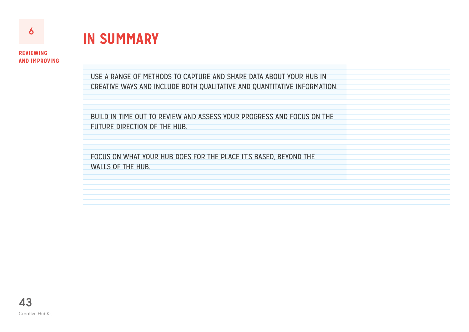

# **IN SUMMARY**

**REVIEWING AND IMPROVING**

> USE A RANGE OF METHODS TO CAPTURE AND SHARE DATA ABOUT YOUR HUB IN CREATIVE WAYS AND INCLUDE BOTH QUALITATIVE AND QUANTITATIVE INFORMATION.

BUILD IN TIME OUT TO REVIEW AND ASSESS YOUR PROGRESS AND FOCUS ON THE FUTURE DIRECTION OF THE HUB.

FOCUS ON WHAT YOUR HUB DOES FOR THE PLACE IT'S BASED, BEYOND THE WALLS OF THE HUB.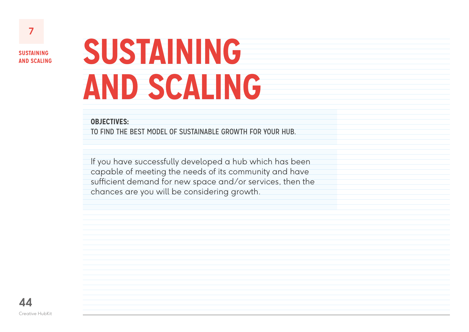<span id="page-43-0"></span>**7**

# **SUSTAINING AND SCALING**

#### **OBJECTIVES:**

TO FIND THE BEST MODEL OF SUSTAINABLE GROWTH FOR YOUR HUB.

If you have successfully developed a hub which has been capable of meeting the needs of its community and have sufficient demand for new space and/or services, then the chances are you will be considering growth.

**44** Creative HubKit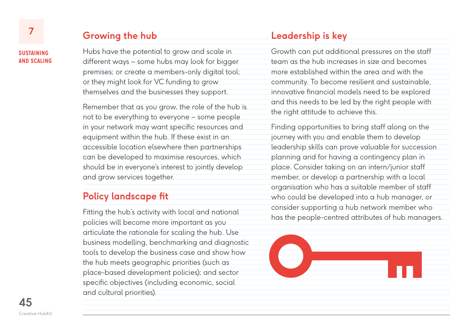## **Growing the hub**

Hubs have the potential to grow and scale in different ways – some hubs may look for bigger premises; or create a members-only digital tool; or they might look for VC funding to grow themselves and the businesses they support.

Remember that as you grow, the role of the hub is not to be everything to everyone – some people in your network may want specific resources and equipment within the hub. If these exist in an accessible location elsewhere then partnerships can be developed to maximise resources, which should be in everyone's interest to jointly develop and grow services together.

## **Policy landscape fit**

Fitting the hub's activity with local and national policies will become more important as you articulate the rationale for scaling the hub. Use business modelling, benchmarking and diagnostic tools to develop the business case and show how the hub meets geographic priorities (such as place-based development policies); and sector specific objectives (including economic, social and cultural priorities).

## **Leadership is key**

Growth can put additional pressures on the staff team as the hub increases in size and becomes more established within the area and with the community. To become resilient and sustainable, innovative financial models need to be explored and this needs to be led by the right people with the right attitude to achieve this.

Finding opportunities to bring staff along on the journey with you and enable them to develop leadership skills can prove valuable for succession planning and for having a contingency plan in place. Consider taking on an intern/junior staff member, or develop a partnership with a local organisation who has a suitable member of staff who could be developed into a hub manager, or consider supporting a hub network member who has the people-centred attributes of hub managers.



**45** Creative HubKit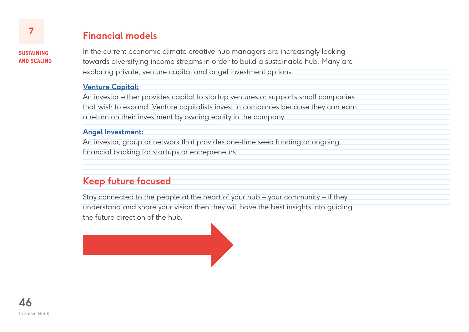## **Financial models**

In the current economic climate creative hub managers are increasingly looking towards diversifying income streams in order to build a sustainable hub. Many are exploring private, venture capital and angel investment options.

#### **[Venture Capital:](https://www.google.com/url?q=https%3A%2F%2Fen.wikipedia.org%2Fwiki%2FVenture_capital&sa=D&sntz=1&usg=AFQjCNEx0vXB21h8Ix0tprn80fhSQVDMhA)**

An investor either provides capital to startup ventures or supports small companies that wish to expand. Venture capitalists invest in companies because they can earn a return on their investment by owning equity in the company.

#### **[Angel Investment:](https://en.wikipedia.org/wiki/Angel_investor)**

An investor, group or network that provides one-time seed funding or ongoing financial backing for startups or entrepreneurs.

## **Keep future focused**

Stay connected to the people at the heart of your hub – your community – if they understand and share your vision then they will have the best insights into guiding the future direction of the hub.

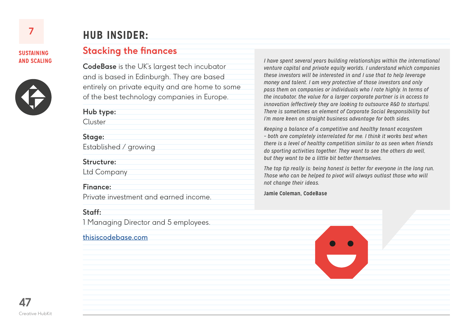

## **HUB INSIDER:**

### **Stacking the finances**

**CodeBase** is the UK's largest tech incubator and is based in Edinburgh. They are based entirely on private equity and are home to some of the best technology companies in Europe.

**Hub type:**

Cluster

#### **Stage:**

Established / growing

#### **Structure:**

Ltd Company

#### **Finance:**

Private investment and earned income.

#### **Staff:**

1 Managing Director and 5 employees.

#### [thisiscodebase.com](http://www.thisiscodebase.com/)

*I have spent several years building relationships within the international venture capital and private equity worlds. I understand which companies these investors will be interested in and I use that to help leverage money and talent. I am very protective of those investors and only pass them on companies or individuals who I rate highly. In terms of the incubator, the value for a larger corporate partner is in access to innovation (effectively they are looking to outsource R&D to startups). There is sometimes an element of Corporate Social Responsibility but I'm more keen on straight business advantage for both sides.* 

*Keeping a balance of a competitive and healthy tenant ecosystem – both are completely interrelated for me. I think it works best when there is a level of healthy competition similar to as seen when friends do sporting activities together. They want to see the others do well, but they want to be a little bit better themselves.*

*The top tip really is: being honest is better for everyone in the long run. Those who can be helped to pivot will always outlast those who will not change their ideas.*

**Jamie Coleman, CodeBase**

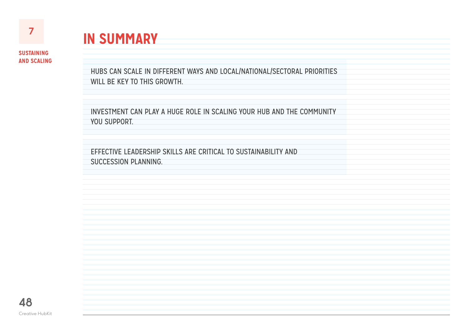

**IN SUMMARY**

HUBS CAN SCALE IN DIFFERENT WAYS AND LOCAL/NATIONAL/SECTORAL PRIORITIES WILL BE KEY TO THIS GROWTH.

INVESTMENT CAN PLAY A HUGE ROLE IN SCALING YOUR HUB AND THE COMMUNITY YOU SUPPORT.

EFFECTIVE LEADERSHIP SKILLS ARE CRITICAL TO SUSTAINABILITY AND SUCCESSION PLANNING.

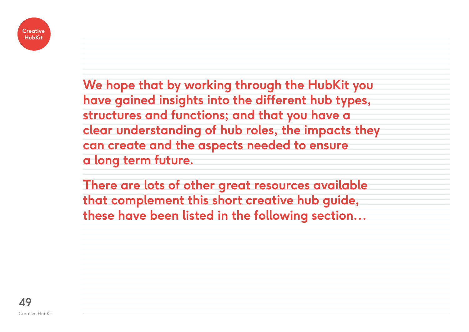

**We hope that by working through the HubKit you have gained insights into the different hub types, structures and functions; and that you have a clear understanding of hub roles, the impacts they can create and the aspects needed to ensure a long term future.** 

**There are lots of other great resources available that complement this short creative hub guide, these have been listed in the following section…** 

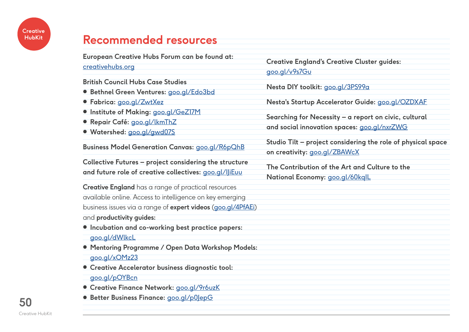## <span id="page-49-0"></span>**Recommended resources**

**European Creative Hubs Forum can be found at:**

[creativehubs.org](http://creativehubs.org)

**British Council Hubs Case Studies** 

- **Bethnel Green Ventures:** [goo.gl/Edo3bd](http://goo.gl/Edo3bd)
- **Fabrica:** [goo.gl/ZwtXez](http://goo.gl/ZwtXez)
- **Institute of Making:** [goo.gl/GeZ17M](http://goo.gl/GeZ17M)
- **Repair Café:** [goo.gl/lkmThZ](http://goo.gl/lkmThZ)
- **Watershed:** [goo.gl/gwd07S](http://goo.gl/gwd07S)

**Business Model Generation Canvas:** [goo.gl/R6pQhB](http://goo.gl/R6pQhB)

**Collective Futures – project considering the structure and future role of creative collectives:** [goo.gl/IJiEuu](http://goo.gl/IJiEuu)

**Creative England** has a range of practical resources available online. Access to intelligence on key emerging business issues via a range of **expert videos** ([goo.gl/4PfAEi](http://goo.gl/4PfAEi)) and **productivity guides:**

- **Incubation and co-working best practice papers:**  [goo.gl/dWlkcL](http://goo.gl/dWlkcL)
- **Mentoring Programme / Open Data Workshop Models:**
- [goo.gl/xOMz23](http://goo.gl/xOMz23)
- **Creative Accelerator business diagnostic tool:**
- [goo.gl/pOYBcn](http://goo.gl/pOYBcn)
- **Creative Finance Network: [goo.gl/9r6uzK](http://goo.gl/9r6uzK)**
- **Better Business Finance:** [goo.gl/p0JepG](http://goo.gl/p0JepG)

**Creative England's Creative Cluster guides:**  [goo.gl/v9s7Gu](http://goo.gl/v9s7Gu)

**Nesta DIY toolkit:** [goo.gl/3PS99a](http://goo.gl/3PS99a)

**Nesta's Startup Accelerator Guide:** [goo.gl/OZDXAF](http://goo.gl/OZDXAF)

**Searching for Necessity – a report on civic, cultural and social innovation spaces:** [goo.gl/nxrZWG](http://goo.gl/nxrZWG)

**Studio Tilt – project considering the role of physical space on creativity:** [goo.gl/ZBAWcX](http://goo.gl/ZBAWcX)

**The Contribution of the Art and Culture to the National Economy:** [goo.gl/60kqIL](http://goo.gl/60kqIL)